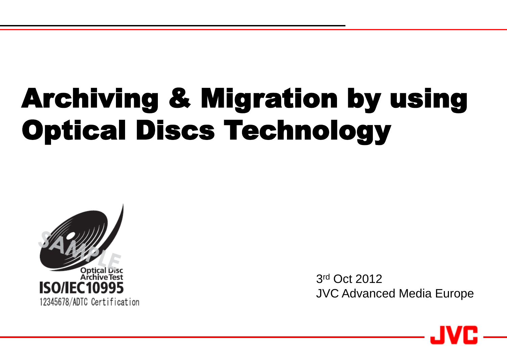## Archiving & Migration by using Optical Discs Technology



3 rd Oct 2012 JVC Advanced Media Europe

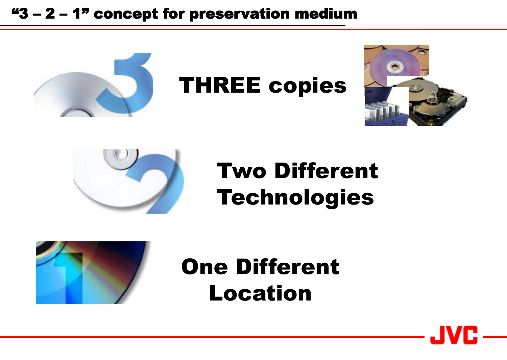### "3 – 2 – 1" concept for preservation medium



## THREE copies





## Two Different Technologies



## One Different Location

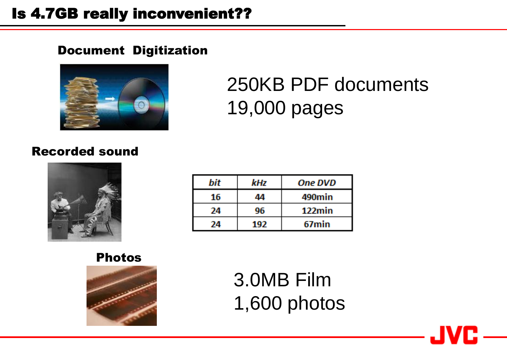### Is 4.7GB really inconvenient??

#### Document Digitization



## 250KB PDF documents 19,000 pages

#### Recorded sound



| bit | kHz | <b>One DVD</b> |
|-----|-----|----------------|
| 16  | 44  | 490min         |
| 24  | 96  | $122$ min      |
| 24  | 192 | 67min          |

Photos



3.0MB Film 1,600 photos

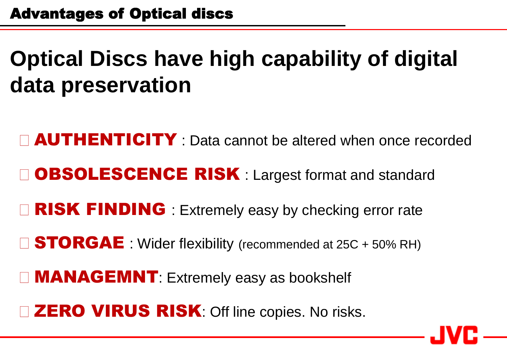## **Optical Discs have high capability of digital data preservation**

**AUTHENTICITY**: Data cannot be altered when once recorded OBSOLESCENCE RISK : Largest format and standard □ RISK FINDING : Extremely easy by checking error rate STORGAE : Wider flexibility (recommended at 25C + 50% RH)

**MANAGEMNT: Extremely easy as bookshelf** 

**ZERO VIRUS RISK:** Off line copies. No risks.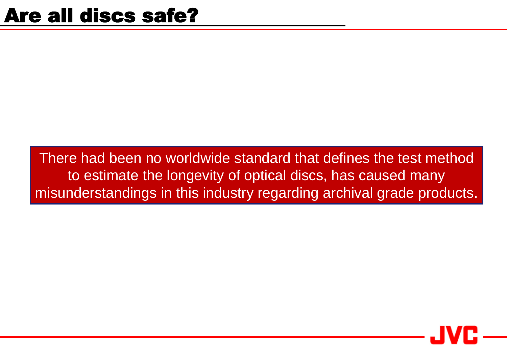There had been no worldwide standard that defines the test method to estimate the longevity of optical discs, has caused many misunderstandings in this industry regarding archival grade products.

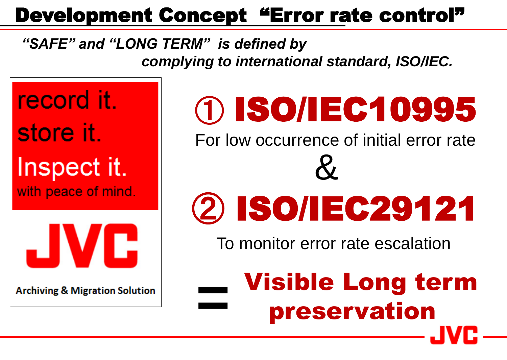## Development Concept "Error rate control"

### *"SAFE" and "LONG TERM" is defined by complying to international standard, ISO/IEC.*

**=**

record it. store it. Inspect it.



**Archiving & Migration Solution** 

## ① ISO/IEC10995 For low occurrence of initial error rate **With peace of mind.** 2 3 3 3 3 4 5 6 7 2 1 &

**The CONFIDER STATE CONFIDERATION CONTROLLER** To monitor error rate escalation

Visible Long term preservation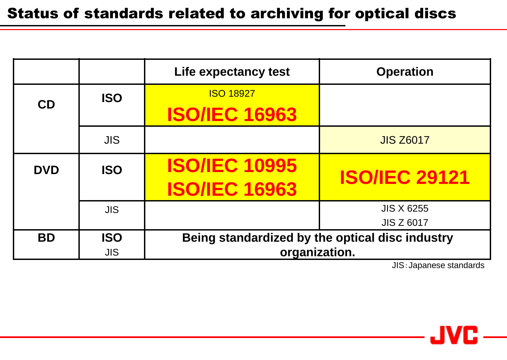|            |            | Life expectancy test                            | <b>Operation</b>     |  |
|------------|------------|-------------------------------------------------|----------------------|--|
| CD         | <b>ISO</b> | <b>ISO 18927</b>                                |                      |  |
|            |            | <b>ISO/IEC 16963</b>                            |                      |  |
|            | <b>JIS</b> |                                                 | <b>JIS Z6017</b>     |  |
| <b>DVD</b> | <b>ISO</b> | <b>ISO/IEC 10995</b>                            | <b>ISO/IEC 29121</b> |  |
|            |            | <b>ISO/IEC 16963</b>                            |                      |  |
|            | <b>JIS</b> |                                                 | <b>JIS X 6255</b>    |  |
|            |            |                                                 | <b>JIS Z 6017</b>    |  |
| <b>BD</b>  | <b>ISO</b> | Being standardized by the optical disc industry |                      |  |
|            | <b>JIS</b> | organization.                                   |                      |  |

JIS:Japanese standards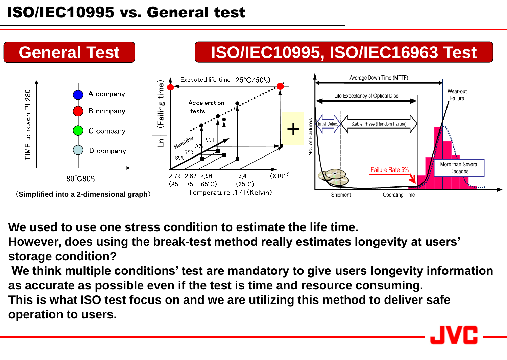### ISO/IEC10995 vs. General test



**We used to use one stress condition to estimate the life time.**

**However, does using the break-test method really estimates longevity at users' storage condition?**

**We think multiple conditions' test are mandatory to give users longevity information as accurate as possible even if the test is time and resource consuming. This is what ISO test focus on and we are utilizing this method to deliver safe operation to users.**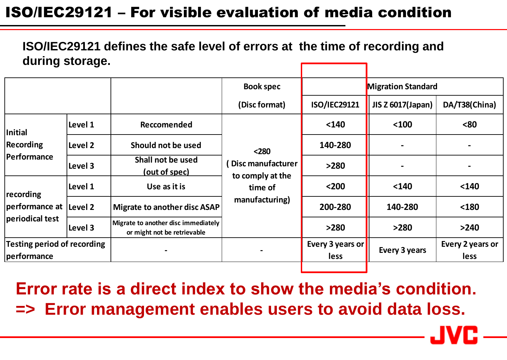### ISO/IEC29121 – For visible evaluation of media condition

**ISO/IEC29121 defines the safe level of errors at the time of recording and during storage.**

|                                                         |         |                                                                    | <b>Book spec</b>                                                              | <b>Migration Standard</b>       |                          |                          |
|---------------------------------------------------------|---------|--------------------------------------------------------------------|-------------------------------------------------------------------------------|---------------------------------|--------------------------|--------------------------|
|                                                         |         |                                                                    | (Disc format)                                                                 | <b>ISO/IEC29121</b>             | <b>JIS Z 6017(Japan)</b> | DA/T38(China)            |
| Initial<br>Recording<br>Performance                     | Level 1 | Reccomended                                                        | $<$ 280<br>Disc manufacturer<br>to comply at the<br>time of<br>manufacturing) | $140$                           | $100$                    | $80$                     |
|                                                         | Level 2 | Should not be used                                                 |                                                                               | 140-280                         |                          |                          |
|                                                         | Level 3 | Shall not be used<br>(out of spec)                                 |                                                                               | >280                            |                          |                          |
| recording<br>performance at  Level 2<br>periodical test | Level 1 | Use as it is                                                       |                                                                               | $200$                           | $140$                    | $140$                    |
|                                                         |         | <b>Migrate to another disc ASAP</b>                                |                                                                               | 200-280                         | 140-280                  | $180$                    |
|                                                         | Level 3 | Migrate to another disc immediately<br>or might not be retrievable |                                                                               | >280                            | >280                     | >240                     |
| Testing period of recording<br>performance              |         |                                                                    |                                                                               | Every 3 years or<br><b>less</b> | Every 3 years            | Every 2 years or<br>less |

**Error rate is a direct index to show the media's condition. => Error management enables users to avoid data loss.**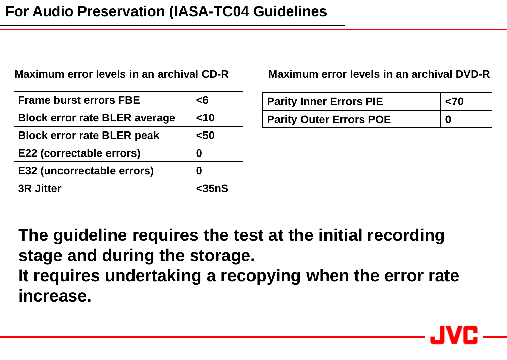| <b>Frame burst errors FBE</b>        | $\epsilon$ 6 |
|--------------------------------------|--------------|
| <b>Block error rate BLER average</b> | $<$ 10       |
| <b>Block error rate BLER peak</b>    | $50$         |
| E22 (correctable errors)             |              |
| E32 (uncorrectable errors)           |              |
| <b>3R Jitter</b>                     | $<$ 35nS     |

**Maximum error levels in an archival CD-R Maximum error levels in an archival DVD-R**

| <b>Parity Inner Errors PIE</b> | $ $ <70  |
|--------------------------------|----------|
| <b>Parity Outer Errors POE</b> | $\bf{0}$ |

**The guideline requires the test at the initial recording stage and during the storage. It requires undertaking a recopying when the error rate increase.**

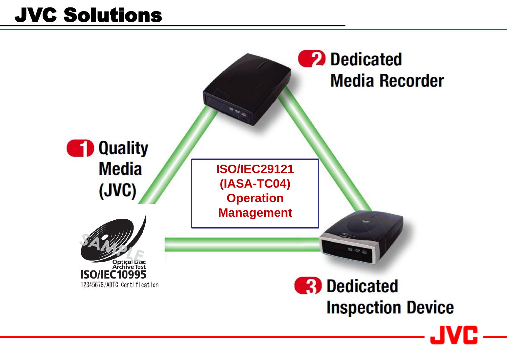## JVC Solutions

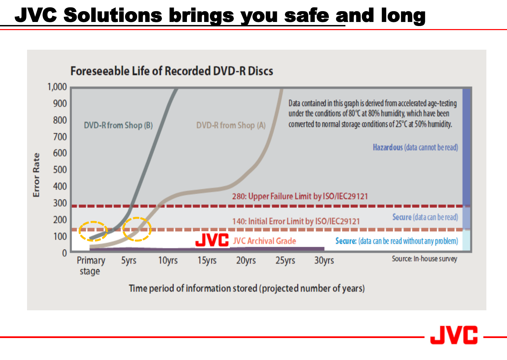## JVC Solutions brings you safe and long



Time period of information stored (projected number of years)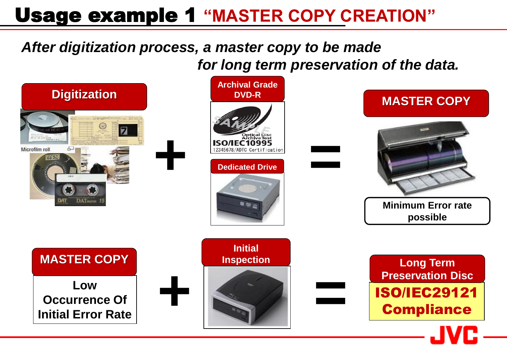### Usage example 1 **"MASTER COPY CREATION"**

### *After digitization process, a master copy to be made for long term preservation of the data.*

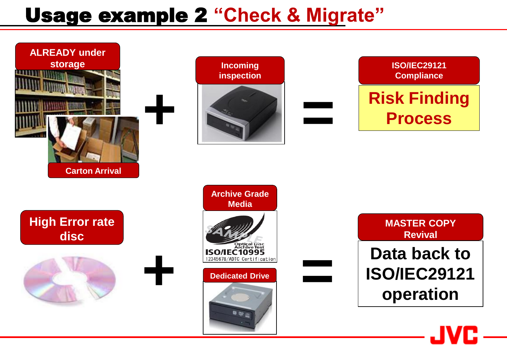### Usage example 2 **"Check & Migrate"**